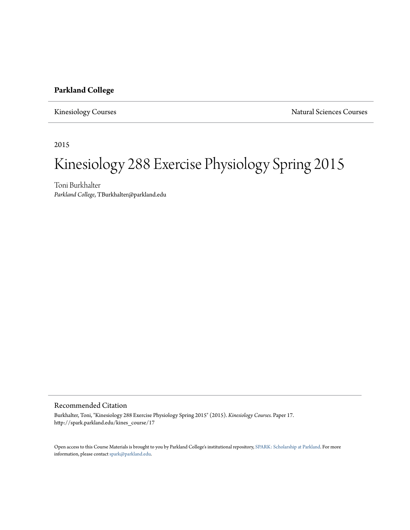#### **Parkland College**

Kinesiology Courses **Natural Sciences** Courses

2015

# Kinesiology 288 Exercise Physiology Spring 2015

Toni Burkhalter *Parkland College*, TBurkhalter@parkland.edu

#### Recommended Citation

Burkhalter, Toni, "Kinesiology 288 Exercise Physiology Spring 2015" (2015). *Kinesiology Courses.* Paper 17. http://spark.parkland.edu/kines\_course/17

Open access to this Course Materials is brought to you by Parkland College's institutional repository, [SPARK: Scholarship at Parkland](http://spark.parkland.edu/). For more information, please contact [spark@parkland.edu](mailto:spark@parkland.edu).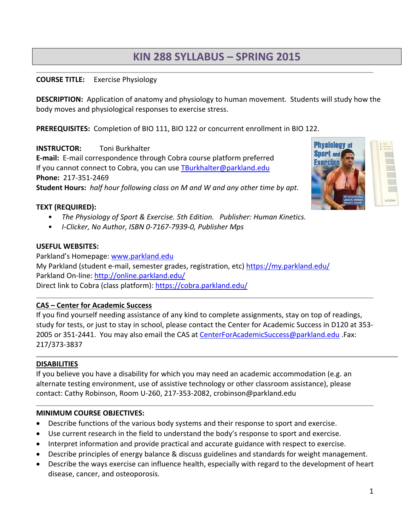# **KIN 288 SYLLABUS – SPRING 2015**

#### **COURSE TITLE:** Exercise Physiology

**DESCRIPTION:** Application of anatomy and physiology to human movement. Students will study how the body moves and physiological responses to exercise stress.

**PREREQUISITES:** Completion of BIO 111, BIO 122 or concurrent enrollment in BIO 122.

# **INSTRUCTOR:** Toni Burkhalter

**E‐mail:** E‐mail correspondence through Cobra course platform preferred If you cannot connect to Cobra, you can use TBurkhalter@parkland.edu **Phone:** 217‐351‐2469

**Student Hours:** *half hour following class on M and W and any other time by apt.* 

#### **TEXT (REQUIRED):**

- *The Physiology of Sport & Exercise. 5th Edition. Publisher: Human Kinetics.*
- *I‐Clicker, No Author, ISBN 0‐7167‐7939‐0, Publisher Mps*

#### **USEFUL WEBSITES:**

Parkland's Homepage: www.parkland.edu My Parkland (student e‐mail, semester grades, registration, etc) https://my.parkland.edu/ Parkland On-line: http://online.parkland.edu/ Direct link to Cobra (class platform): https://cobra.parkland.edu/

# **CAS – Center for Academic Success**

If you find yourself needing assistance of any kind to complete assignments, stay on top of readings, study for tests, or just to stay in school, please contact the Center for Academic Success in D120 at 353‐ 2005 or 351-2441. You may also email the CAS at CenterForAcademicSuccess@parkland.edu .Fax: 217/373‐3837

# **DISABILITIES**

If you believe you have a disability for which you may need an academic accommodation (e.g. an alternate testing environment, use of assistive technology or other classroom assistance), please contact: Cathy Robinson, Room U‐260, 217‐353‐2082, crobinson@parkland.edu

#### **MINIMUM COURSE OBJECTIVES:**

- Describe functions of the various body systems and their response to sport and exercise.
- Use current research in the field to understand the body's response to sport and exercise.
- Interpret information and provide practical and accurate guidance with respect to exercise.
- Describe principles of energy balance & discuss guidelines and standards for weight management.
- Describe the ways exercise can influence health, especially with regard to the development of heart disease, cancer, and osteoporosis.



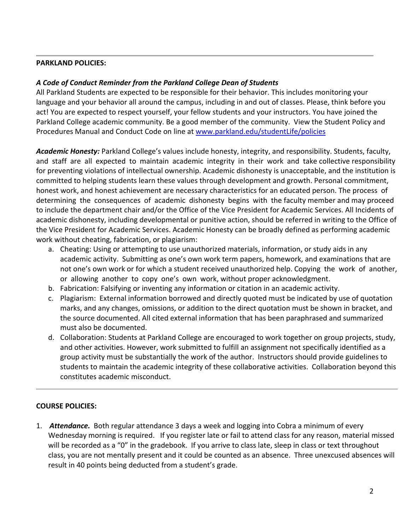#### **PARKLAND POLICIES:**

# *A Code of Conduct Reminder from the Parkland College Dean of Students*

All Parkland Students are expected to be responsible for their behavior. This includes monitoring your language and your behavior all around the campus, including in and out of classes. Please, think before you act! You are expected to respect yourself, your fellow students and your instructors. You have joined the Parkland College academic community. Be a good member of the community. View the Student Policy and Procedures Manual and Conduct Code on line at www.parkland.edu/studentLife/policies

*Academic Honesty:* Parkland College's values include honesty, integrity, and responsibility. Students, faculty, and staff are all expected to maintain academic integrity in their work and take collective responsibility for preventing violations of intellectual ownership. Academic dishonesty is unacceptable, and the institution is committed to helping students learn these values through development and growth. Personal commitment, honest work, and honest achievement are necessary characteristics for an educated person. The process of determining the consequences of academic dishonesty begins with the faculty member and may proceed to include the department chair and/or the Office of the Vice President for Academic Services. All Incidents of academic dishonesty, including developmental or punitive action, should be referred in writing to the Office of the Vice President for Academic Services. Academic Honesty can be broadly defined as performing academic work without cheating, fabrication, or plagiarism:

- a. Cheating: Using or attempting to use unauthorized materials, information, or study aids in any academic activity. Submitting as one's own work term papers, homework, and examinations that are not one's own work or for which a student received unauthorized help. Copying the work of another, or allowing another to copy one's own work, without proper acknowledgment.
- b. Fabrication: Falsifying or inventing any information or citation in an academic activity.
- c. Plagiarism: External information borrowed and directly quoted must be indicated by use of quotation marks, and any changes, omissions, or addition to the direct quotation must be shown in bracket, and the source documented. All cited external information that has been paraphrased and summarized must also be documented.
- d. Collaboration: Students at Parkland College are encouraged to work together on group projects, study, and other activities. However, work submitted to fulfill an assignment not specifically identified as a group activity must be substantially the work of the author. Instructors should provide guidelines to students to maintain the academic integrity of these collaborative activities. Collaboration beyond this constitutes academic misconduct.

#### **COURSE POLICIES:**

1. *Attendance.* Both regular attendance 3 days a week and logging into Cobra a minimum of every Wednesday morning is required. If you register late or fail to attend class for any reason, material missed will be recorded as a "0" in the gradebook. If you arrive to class late, sleep in class or text throughout class, you are not mentally present and it could be counted as an absence. Three unexcused absences will result in 40 points being deducted from a student's grade.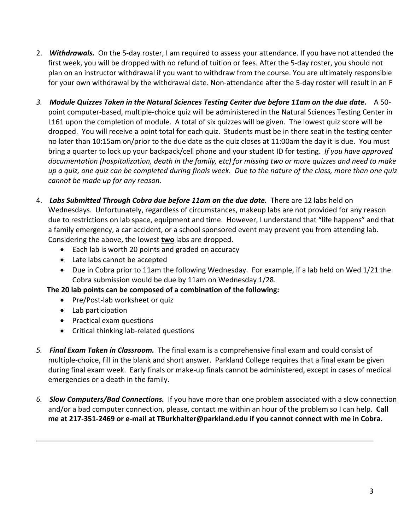- 2. *Withdrawals.* On the 5‐day roster, I am required to assess your attendance. If you have not attended the first week, you will be dropped with no refund of tuition or fees. After the 5‐day roster, you should not plan on an instructor withdrawal if you want to withdraw from the course. You are ultimately responsible for your own withdrawal by the withdrawal date. Non‐attendance after the 5‐day roster will result in an F
- 3. Module Quizzes Taken in the Natural Sciences Testing Center due before 11am on the due date. A 50point computer‐based, multiple‐choice quiz will be administered in the Natural Sciences Testing Center in L161 upon the completion of module. A total of six quizzes will be given. The lowest quiz score will be dropped. You will receive a point total for each quiz. Students must be in there seat in the testing center no later than 10:15am on/prior to the due date as the quiz closes at 11:00am the day it is due. You must bring a quarter to lock up your backpack/cell phone and your student ID for testing. *If you have approved* documentation (hospitalization, death in the family, etc) for missing two or more quizzes and need to make up a quiz, one quiz can be completed during finals week. Due to the nature of the class, more than one quiz *cannot be made up for any reason.*
- 4. *Labs Submitted Through Cobra due before 11am on the due date.* There are 12 labs held on Wednesdays. Unfortunately, regardless of circumstances, makeup labs are not provided for any reason due to restrictions on lab space, equipment and time. However, I understand that "life happens" and that a family emergency, a car accident, or a school sponsored event may prevent you from attending lab. Considering the above, the lowest **two** labs are dropped.
	- Each lab is worth 20 points and graded on accuracy
	- Late labs cannot be accepted
	- Due in Cobra prior to 11am the following Wednesday. For example, if a lab held on Wed 1/21 the Cobra submission would be due by 11am on Wednesday 1/28.

**The 20 lab points can be composed of a combination of the following:**

- Pre/Post-lab worksheet or quiz
- Lab participation
- Practical exam questions
- Critical thinking lab-related questions
- *5. Final Exam Taken in Classroom.* The final exam is a comprehensive final exam and could consist of multiple‐choice, fill in the blank and short answer. Parkland College requires that a final exam be given during final exam week. Early finals or make‐up finals cannot be administered, except in cases of medical emergencies or a death in the family.
- *6. Slow Computers/Bad Connections.* If you have more than one problem associated with a slow connection and/or a bad computer connection, please, contact me within an hour of the problem so I can help. **Call** me at 217-351-2469 or e-mail at TBurkhalter@parkland.edu if you cannot connect with me in Cobra.